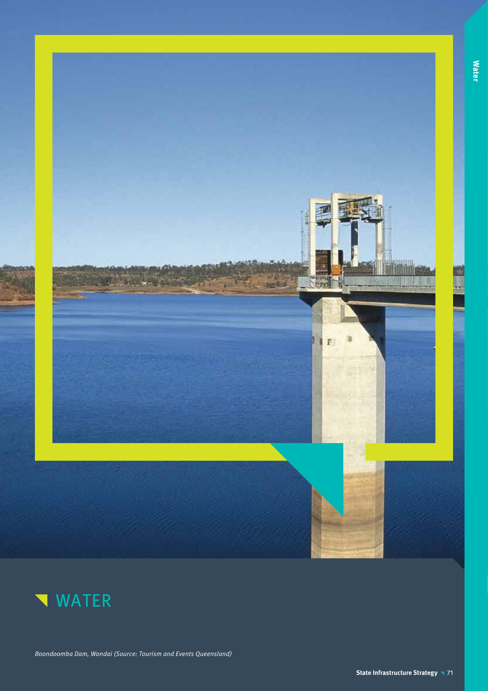



Boondoomba Dam, Wondai (Source: Tourism and Events Queensland)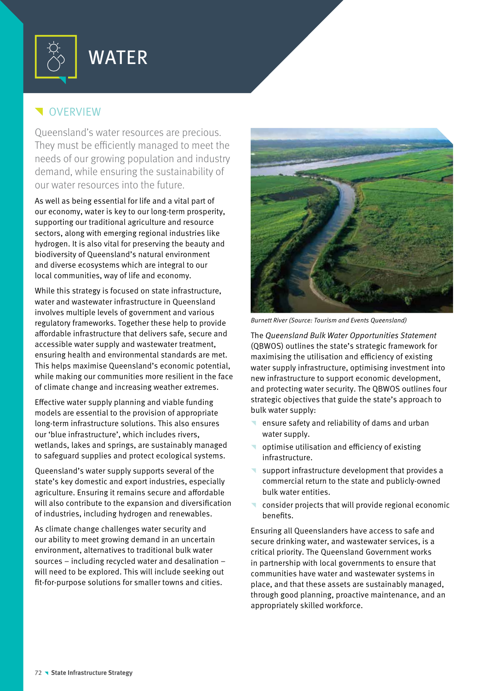

# WATER

# **VERVIEW**

Queensland's water resources are precious. They must be efficiently managed to meet the needs of our growing population and industry demand, while ensuring the sustainability of our water resources into the future.

As well as being essential for life and a vital part of our economy, water is key to our long-term prosperity, supporting our traditional agriculture and resource sectors, along with emerging regional industries like hydrogen. It is also vital for preserving the beauty and biodiversity of Queensland's natural environment and diverse ecosystems which are integral to our local communities, way of life and economy.

While this strategy is focused on state infrastructure, water and wastewater infrastructure in Queensland involves multiple levels of government and various regulatory frameworks. Together these help to provide affordable infrastructure that delivers safe, secure and accessible water supply and wastewater treatment, ensuring health and environmental standards are met. This helps maximise Queensland's economic potential, while making our communities more resilient in the face of climate change and increasing weather extremes.

Effective water supply planning and viable funding models are essential to the provision of appropriate long-term infrastructure solutions. This also ensures our 'blue infrastructure', which includes rivers, wetlands, lakes and springs, are sustainably managed to safeguard supplies and protect ecological systems.

Queensland's water supply supports several of the state's key domestic and export industries, especially agriculture. Ensuring it remains secure and affordable will also contribute to the expansion and diversification of industries, including hydrogen and renewables.

As climate change challenges water security and our ability to meet growing demand in an uncertain environment, alternatives to traditional bulk water sources – including recycled water and desalination – will need to be explored. This will include seeking out fit-for-purpose solutions for smaller towns and cities.



Burnett River (Source: Tourism and Events Queensland)

The Queensland Bulk Water Opportunities Statement (QBWOS) outlines the state's strategic framework for maximising the utilisation and efficiency of existing water supply infrastructure, optimising investment into new infrastructure to support economic development, and protecting water security. The QBWOS outlines four strategic objectives that guide the state's approach to bulk water supply:

- ensure safety and reliability of dams and urban water supply.
- $\blacksquare$  optimise utilisation and efficiency of existing infrastructure.
- support infrastructure development that provides a commercial return to the state and publicly-owned bulk water entities.
- $\blacksquare$  consider projects that will provide regional economic benefits.

Ensuring all Queenslanders have access to safe and secure drinking water, and wastewater services, is a critical priority. The Queensland Government works in partnership with local governments to ensure that communities have water and wastewater systems in place, and that these assets are sustainably managed, through good planning, proactive maintenance, and an appropriately skilled workforce.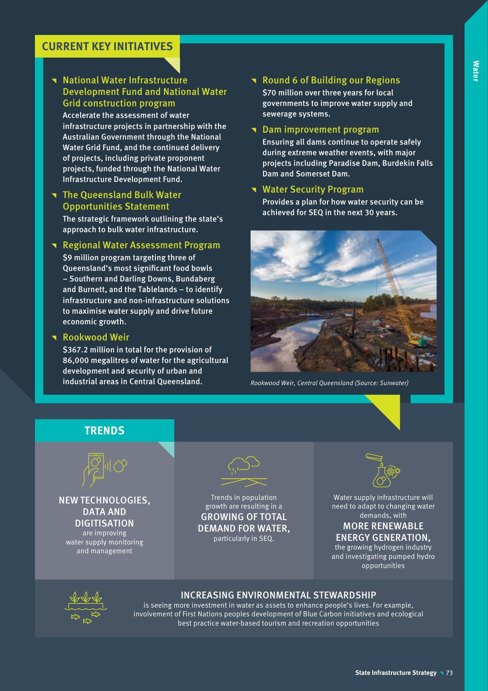# **Water**

## **CURRENT KEY INITIATIVES**

**National Water Infrastructure** Development Fund and National Water Grid construction program Accelerate the assessment of water infrastructure projects in partnership with the Australian Government through the National Water Grid Fund, and the continued delivery of projects, including private proponent projects, funded through the National Water

#### **The Queensland Bulk Water** Opportunities Statement

Infrastructure Development Fund.

The strategic framework outlining the state's approach to bulk water infrastructure.

#### **Regional Water Assessment Program**

\$9 million program targeting three of Queensland's most significant food bowls – Southern and Darling Downs, Bundaberg and Burnett, and the Tablelands – to identify infrastructure and non-infrastructure solutions to maximise water supply and drive future economic growth.

#### **Rookwood Weir**

\$367.2 million in total for the provision of 86,000 megalitres of water for the agricultural development and security of urban and industrial areas in Central Queensland.

# Round 6 of Building our Regions

\$70 million over three years for local governments to improve water supply and sewerage systems.

#### **T** Dam improvement program

Ensuring all dams continue to operate safely during extreme weather events, with major projects including Paradise Dam, Burdekin Falls Dam and Somerset Dam.

#### **Water Security Program**

Provides a plan for how water security can be achieved for SEQ in the next 30 years.



Rookwood Weir, Central Queensland (Source: Sunwater)





NEW TECHNOLOGIES, DATA AND **DIGITISATION** are improving water supply monitoring

and management

Trends in population growth are resulting in a GROWING OF TOTAL DEMAND FOR WATER, particularly in SEQ.



Water supply infrastructure will need to adapt to changing water demands, with

### MORE RENEWABLE ENERGY GENERATION,

the growing hydrogen industry and investigating pumped hydro opportunities



#### INCREASING ENVIRONMENTAL STEWARDSHIP

is seeing more investment in water as assets to enhance people's lives. For example, involvement of First Nations peoples development of Blue Carbon initiatives and ecological best practice water-based tourism and recreation opportunities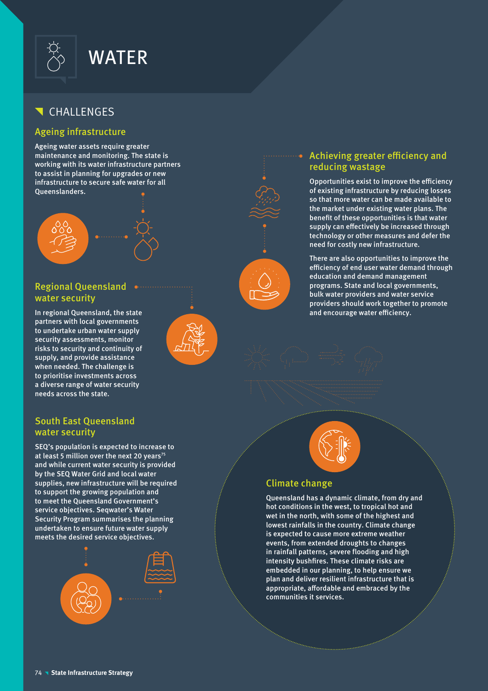

# CHALLENGES

#### Ageing infrastructure

Ageing water assets require greater maintenance and monitoring. The state is working with its water infrastructure partners to assist in planning for upgrades or new infrastructure to secure safe water for all Queenslanders.



### Regional Queensland water security

In regional Queensland, the state partners with local governments to undertake urban water supply security assessments, monitor risks to security and continuity of supply, and provide assistance when needed. The challenge is to prioritise investments across a diverse range of water security needs across the state.

#### South East Queensland water security

SEQ's population is expected to increase to at least 5 million over the next 20 years<sup>75</sup> and while current water security is provided by the SEQ Water Grid and local water supplies, new infrastructure will be required to support the growing population and to meet the Queensland Government's service objectives. Seqwater's Water Security Program summarises the planning undertaken to ensure future water supply meets the desired service objectives.





#### Achieving greater efficiency and reducing wastage

Opportunities exist to improve the efficiency of existing infrastructure by reducing losses so that more water can be made available to the market under existing water plans. The benefit of these opportunities is that water supply can effectively be increased through technology or other measures and defer the need for costly new infrastructure.

There are also opportunities to improve the efficiency of end user water demand through education and demand management programs. State and local governments, bulk water providers and water service providers should work together to promote and encourage water efficiency.



#### Climate change

Queensland has a dynamic climate, from dry and hot conditions in the west, to tropical hot and wet in the north, with some of the highest and lowest rainfalls in the country. Climate change is expected to cause more extreme weather events, from extended droughts to changes in rainfall patterns, severe flooding and high intensity bushfires. These climate risks are embedded in our planning, to help ensure we plan and deliver resilient infrastructure that is appropriate, affordable and embraced by the communities it services.

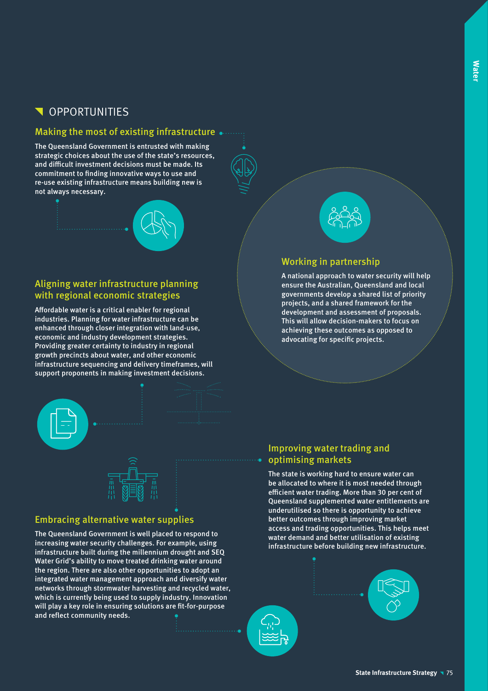# **N** OPPORTUNITIES

#### Making the most of existing infrastructure  $\bullet$  .......

The Queensland Government is entrusted with making strategic choices about the use of the state's resources, and difficult investment decisions must be made. Its commitment to finding innovative ways to use and re-use existing infrastructure means building new is not always necessary.



### Aligning water infrastructure planning with regional economic strategies

Affordable water is a critical enabler for regional industries. Planning for water infrastructure can be enhanced through closer integration with land-use, economic and industry development strategies. Providing greater certainty to industry in regional growth precincts about water, and other economic infrastructure sequencing and delivery timeframes, will support proponents in making investment decisions.



#### Embracing alternative water supplies

The Queensland Government is well placed to respond to increasing water security challenges. For example, using infrastructure built during the millennium drought and SEQ Water Grid's ability to move treated drinking water around the region. There are also other opportunities to adopt an integrated water management approach and diversify water networks through stormwater harvesting and recycled water, which is currently being used to supply industry. Innovation will play a key role in ensuring solutions are fit-for-purpose and reflect community needs.



### Working in partnership

A national approach to water security will help ensure the Australian, Queensland and local governments develop a shared list of priority projects, and a shared framework for the development and assessment of proposals. This will allow decision-makers to focus on achieving these outcomes as opposed to advocating for specific projects.

#### Improving water trading and optimising markets

The state is working hard to ensure water can be allocated to where it is most needed through efficient water trading. More than 30 per cent of Queensland supplemented water entitlements are underutilised so there is opportunity to achieve better outcomes through improving market access and trading opportunities. This helps meet water demand and better utilisation of existing infrastructure before building new infrastructure.

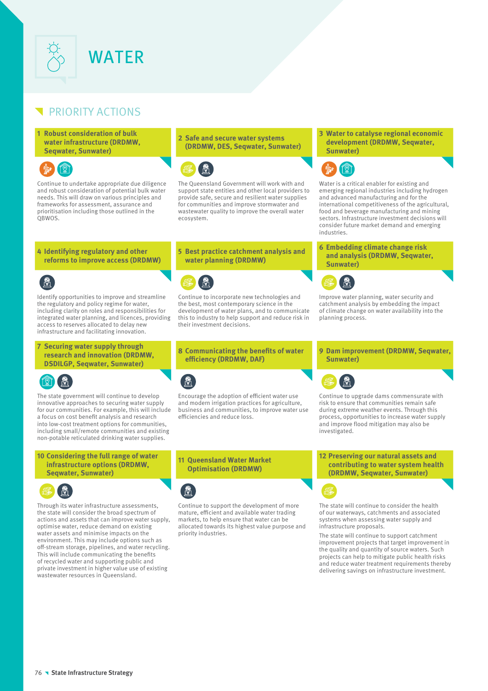

# PRIORITY ACTIONS

**1 Robust consideration of bulk water infrastructure (DRDMW, Seqwater, Sunwater)**



Continue to undertake appropriate due diligence and robust consideration of potential bulk water needs. This will draw on various principles and frameworks for assessment, assurance and prioritisation including those outlined in the QBWOS.

#### **2 Safe and secure water systems (DRDMW, DES, Seqwater, Sunwater)**



The Queensland Government will work with and support state entities and other local providers to provide safe, secure and resilient water supplies for communities and improve stormwater and wastewater quality to improve the overall water ecosystem.

#### **5 Best practice catchment analysis and water planning (DRDMW)**



Continue to incorporate new technologies and the best, most contemporary science in the development of water plans, and to communicate this to industry to help support and reduce risk in their investment decisions.

**8 Communicating the benefits of water efficiency (DRDMW, DAF)**



Encourage the adoption of efficient water use and modern irrigation practices for agriculture, business and communities, to improve water use efficiencies and reduce loss.

**11 Queensland Water Market Optimisation (DRDMW)**



Continue to support the development of more mature, efficient and available water trading markets, to help ensure that water can be allocated towards its highest value purpose and priority industries.

#### **3 Water to catalyse regional economic development (DRDMW, Seqwater, Sunwater)**



Water is a critical enabler for existing and emerging regional industries including hydrogen and advanced manufacturing and for the international competitiveness of the agricultural, food and beverage manufacturing and mining sectors. Infrastructure investment decisions will consider future market demand and emerging industries.

**6 Embedding climate change risk and analysis (DRDMW, Seqwater, Sunwater)**



Improve water planning, water security and catchment analysis by embedding the impact of climate change on water availability into the planning process.

**9 Dam improvement (DRDMW, Seqwater, Sunwater)**



Continue to upgrade dams commensurate with risk to ensure that communities remain safe during extreme weather events. Through this process, opportunities to increase water supply and improve flood mitigation may also be investigated.

**12 Preserving our natural assets and contributing to water system health (DRDMW, Seqwater, Sunwater)**

The state will continue to consider the health of our waterways, catchments and associated systems when assessing water supply and infrastructure proposals.

The state will continue to support catchment improvement projects that target improvement in the quality and quantity of source waters. Such projects can help to mitigate public health risks and reduce water treatment requirements thereby delivering savings on infrastructure investment.

#### **4 Identifying regulatory and other reforms to improve access (DRDMW)**

Identify opportunities to improve and streamline the regulatory and policy regime for water, including clarity on roles and responsibilities for integrated water planning, and licences, providing access to reserves allocated to delay new infrastructure and facilitating innovation.

**7 Securing water supply through research and innovation (DRDMW, DSDILGP, Seqwater, Sunwater)**



The state government will continue to develop innovative approaches to securing water supply for our communities. For example, this will include a focus on cost benefit analysis and research into low-cost treatment options for communities, including small/remote communities and existing non-potable reticulated drinking water supplies.

#### **10 Considering the full range of water infrastructure options (DRDMW, Seqwater, Sunwater)**



Through its water infrastructure assessments, the state will consider the broad spectrum of actions and assets that can improve water supply, optimise water, reduce demand on existing water assets and minimise impacts on the environment. This may include options such as off-stream storage, pipelines, and water recycling. This will include communicating the benefits of recycled water and supporting public and private investment in higher value use of existing wastewater resources in Queensland.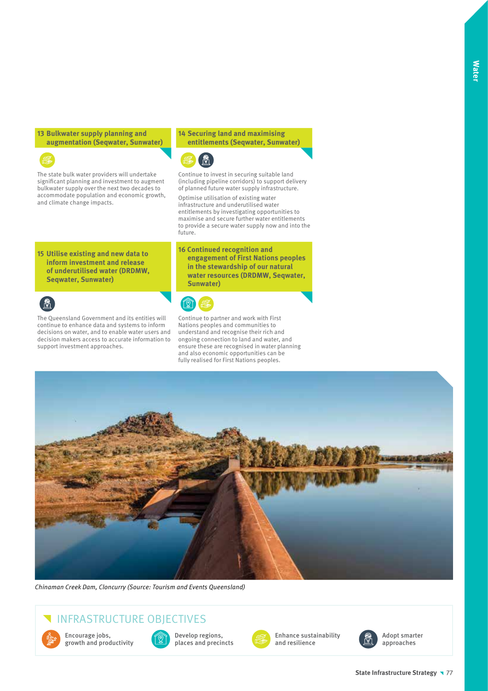**13 Bulkwater supply planning and augmentation (Seqwater, Sunwater)**



The state bulk water providers will undertake significant planning and investment to augment bulkwater supply over the next two decades to accommodate population and economic growth, and climate change impacts.

#### **14 Securing land and maximising entitlements (Seqwater, Sunwater)**



Continue to invest in securing suitable land (including pipeline corridors) to support delivery of planned future water supply infrastructure.

Optimise utilisation of existing water infrastructure and underutilised water entitlements by investigating opportunities to maximise and secure further water entitlements to provide a secure water supply now and into the future.

**15 Utilise existing and new data to inform investment and release of underutilised water (DRDMW, Seqwater, Sunwater)**



The Queensland Government and its entities will continue to enhance data and systems to inform decisions on water, and to enable water users and decision makers access to accurate information to support investment approaches.

**16 Continued recognition and engagement of First Nations peoples in the stewardship of our natural water resources (DRDMW, Seqwater, Sunwater)**



Continue to partner and work with First Nations peoples and communities to understand and recognise their rich and ongoing connection to land and water, and ensure these are recognised in water planning and also economic opportunities can be fully realised for First Nations peoples.



Chinaman Creek Dam, Cloncurry (Source: Tourism and Events Queensland)

# INFRASTRUCTURE OBJECTIVES



Encourage jobs, growth and productivity



Develop regions, places and precincts



Enhance sustainability and resilience



Adopt smarter approaches